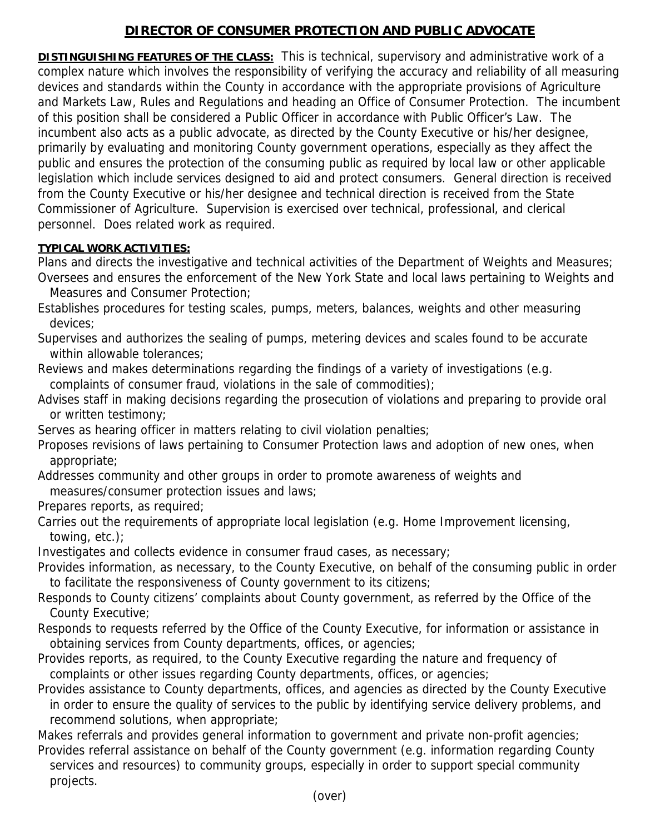## **DIRECTOR OF CONSUMER PROTECTION AND PUBLIC ADVOCATE**

**DISTINGUISHING FEATURES OF THE CLASS:** This is technical, supervisory and administrative work of a complex nature which involves the responsibility of verifying the accuracy and reliability of all measuring devices and standards within the County in accordance with the appropriate provisions of Agriculture and Markets Law, Rules and Regulations and heading an Office of Consumer Protection. The incumbent of this position shall be considered a Public Officer in accordance with Public Officer's Law. The incumbent also acts as a public advocate, as directed by the County Executive or his/her designee, primarily by evaluating and monitoring County government operations, especially as they affect the public and ensures the protection of the consuming public as required by local law or other applicable legislation which include services designed to aid and protect consumers. General direction is received from the County Executive or his/her designee and technical direction is received from the State Commissioner of Agriculture. Supervision is exercised over technical, professional, and clerical personnel. Does related work as required.

## **TYPICAL WORK ACTIVITIES:**

Plans and directs the investigative and technical activities of the Department of Weights and Measures; Oversees and ensures the enforcement of the New York State and local laws pertaining to Weights and Measures and Consumer Protection;

Establishes procedures for testing scales, pumps, meters, balances, weights and other measuring devices;

Supervises and authorizes the sealing of pumps, metering devices and scales found to be accurate within allowable tolerances;

Reviews and makes determinations regarding the findings of a variety of investigations (e.g. complaints of consumer fraud, violations in the sale of commodities);

Advises staff in making decisions regarding the prosecution of violations and preparing to provide oral or written testimony;

Serves as hearing officer in matters relating to civil violation penalties;

Proposes revisions of laws pertaining to Consumer Protection laws and adoption of new ones, when appropriate;

Addresses community and other groups in order to promote awareness of weights and measures/consumer protection issues and laws;

Prepares reports, as required;

Carries out the requirements of appropriate local legislation (e.g. Home Improvement licensing, towing, etc.);

Investigates and collects evidence in consumer fraud cases, as necessary;

Provides information, as necessary, to the County Executive, on behalf of the consuming public in order to facilitate the responsiveness of County government to its citizens;

Responds to County citizens' complaints about County government, as referred by the Office of the County Executive;

Responds to requests referred by the Office of the County Executive, for information or assistance in obtaining services from County departments, offices, or agencies;

Provides reports, as required, to the County Executive regarding the nature and frequency of complaints or other issues regarding County departments, offices, or agencies;

Provides assistance to County departments, offices, and agencies as directed by the County Executive in order to ensure the quality of services to the public by identifying service delivery problems, and recommend solutions, when appropriate;

Makes referrals and provides general information to government and private non-profit agencies; Provides referral assistance on behalf of the County government (e.g. information regarding County services and resources) to community groups, especially in order to support special community projects.